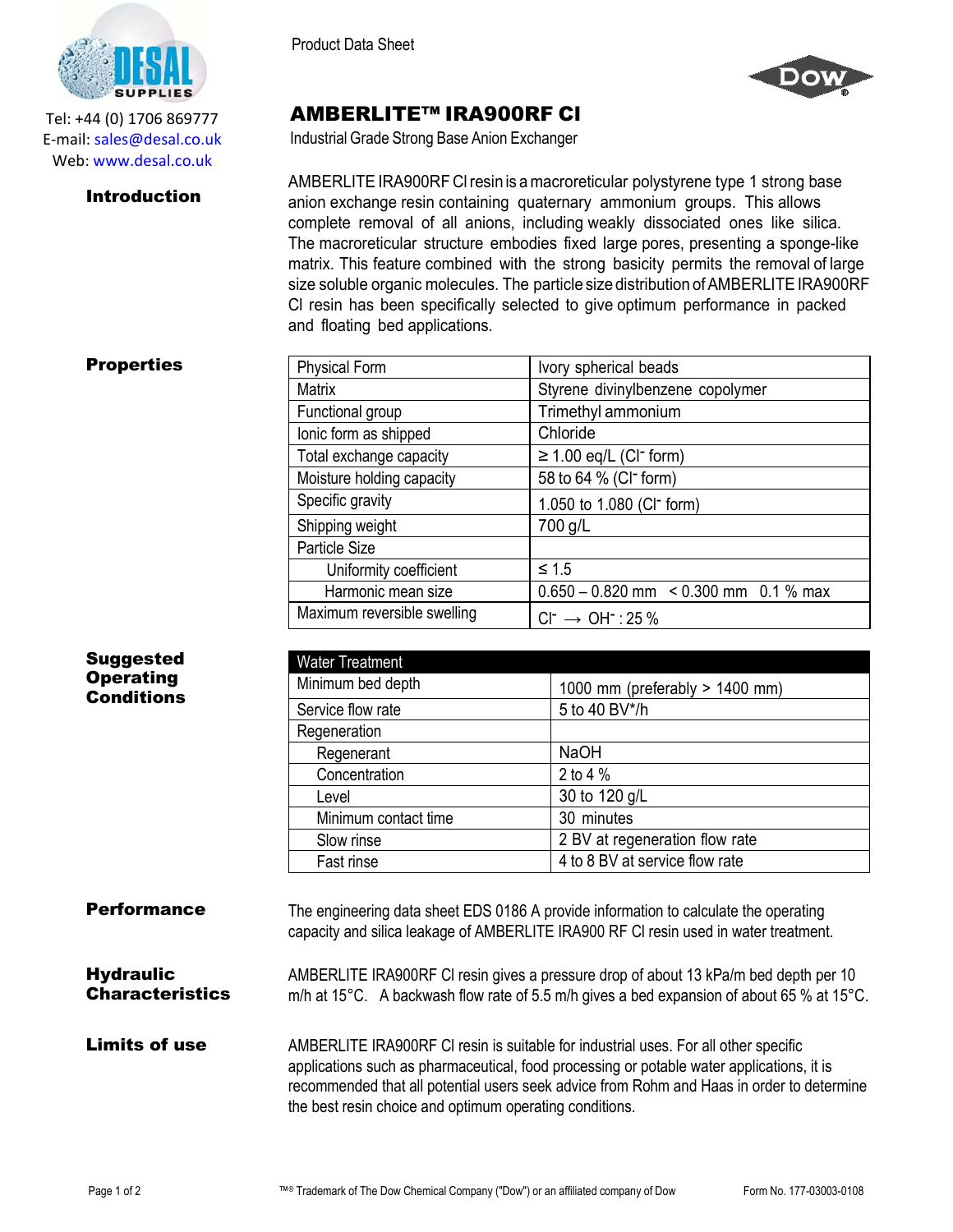

Tel: +44 (0) 1706 869777 E‐mail: sales@desal.co.uk Web: www.desal.co.uk

## **Introduction**

Product Data Sheet



## AMBERLITE™ IRA900RF Cl

Industrial Grade Strong Base Anion Exchanger

AMBERLITE IRA900RF CI resin is a macroreticular polystyrene type 1 strong base anion exchange resin containing quaternary ammonium groups. This allows complete removal of all anions, including weakly dissociated ones like silica. The macroreticular structure embodies fixed large pores, presenting a sponge-like matrix. This feature combined with the strong basicity permits the removal of large size soluble organic molecules. The particle size distribution of AMBERLITE IRA900RF Cl resin has been specifically selected to give optimum performance in packed and floating bed applications.

## **Properties**

Suggested **Operating** Conditions

| <b>Physical Form</b>        | Ivory spherical beads                        |
|-----------------------------|----------------------------------------------|
| <b>Matrix</b>               | Styrene divinylbenzene copolymer             |
| Functional group            | Trimethyl ammonium                           |
| lonic form as shipped       | Chloride                                     |
| Total exchange capacity     | $\geq$ 1.00 eq/L (CI <sup>-</sup> form)      |
| Moisture holding capacity   | 58 to 64 % (CI <sup>-</sup> form)            |
| Specific gravity            | 1.050 to 1.080 (CI <sup>-</sup> form)        |
| Shipping weight             | 700 g/L                                      |
| Particle Size               |                                              |
| Uniformity coefficient      | $\leq 1.5$                                   |
| Harmonic mean size          | $0.650 - 0.820$ mm $\leq 0.300$ mm 0.1 % max |
| Maximum reversible swelling | $Cl^- \rightarrow OH^-$ : 25 %               |

| <b>Water Treatment</b> |                                |
|------------------------|--------------------------------|
| Minimum bed depth      | 1000 mm (preferably > 1400 mm) |
| Service flow rate      | 5 to 40 BV*/h                  |
| Regeneration           |                                |
| Regenerant             | <b>NaOH</b>                    |
| Concentration          | 2 to 4 %                       |
| Level                  | 30 to 120 g/L                  |
| Minimum contact time   | 30 minutes                     |
| Slow rinse             | 2 BV at regeneration flow rate |
| Fast rinse             | 4 to 8 BV at service flow rate |

| <b>Performance</b>                         | The engineering data sheet EDS 0186 A provide information to calculate the operating<br>capacity and silica leakage of AMBERLITE IRA900 RF CI resin used in water treatment.                                                                                                  |
|--------------------------------------------|-------------------------------------------------------------------------------------------------------------------------------------------------------------------------------------------------------------------------------------------------------------------------------|
| <b>Hydraulic</b><br><b>Characteristics</b> | AMBERLITE IRA900RF CI resin gives a pressure drop of about 13 kPa/m bed depth per 10<br>m/h at 15°C. A backwash flow rate of 5.5 m/h gives a bed expansion of about 65 % at 15°C.                                                                                             |
| <b>Limits of use</b>                       | AMBERLITE IRA900RF CI resin is suitable for industrial uses. For all other specific<br>applications such as pharmaceutical, food processing or potable water applications, it is<br>recommended that all potential users seek advice from Rohm and Haas in order to determine |

the best resin choice and optimum operating conditions.